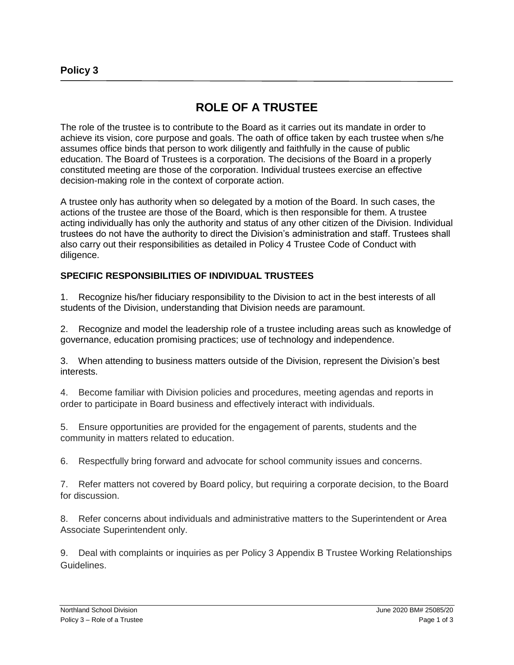## **ROLE OF A TRUSTEE**

The role of the trustee is to contribute to the Board as it carries out its mandate in order to achieve its vision, core purpose and goals. The oath of office taken by each trustee when s/he assumes office binds that person to work diligently and faithfully in the cause of public education. The Board of Trustees is a corporation. The decisions of the Board in a properly constituted meeting are those of the corporation. Individual trustees exercise an effective decision-making role in the context of corporate action.

A trustee only has authority when so delegated by a motion of the Board. In such cases, the actions of the trustee are those of the Board, which is then responsible for them. A trustee acting individually has only the authority and status of any other citizen of the Division. Individual trustees do not have the authority to direct the Division's administration and staff. Trustees shall also carry out their responsibilities as detailed in Policy 4 Trustee Code of Conduct with diligence.

## **SPECIFIC RESPONSIBILITIES OF INDIVIDUAL TRUSTEES**

1. Recognize his/her fiduciary responsibility to the Division to act in the best interests of all students of the Division, understanding that Division needs are paramount.

2. Recognize and model the leadership role of a trustee including areas such as knowledge of governance, education promising practices; use of technology and independence.

3. When attending to business matters outside of the Division, represent the Division's best interests.

4. Become familiar with Division policies and procedures, meeting agendas and reports in order to participate in Board business and effectively interact with individuals.

5. Ensure opportunities are provided for the engagement of parents, students and the community in matters related to education.

6. Respectfully bring forward and advocate for school community issues and concerns.

7. Refer matters not covered by Board policy, but requiring a corporate decision, to the Board for discussion.

8. Refer concerns about individuals and administrative matters to the Superintendent or Area Associate Superintendent only.

9. Deal with complaints or inquiries as per Policy 3 Appendix B Trustee Working Relationships Guidelines.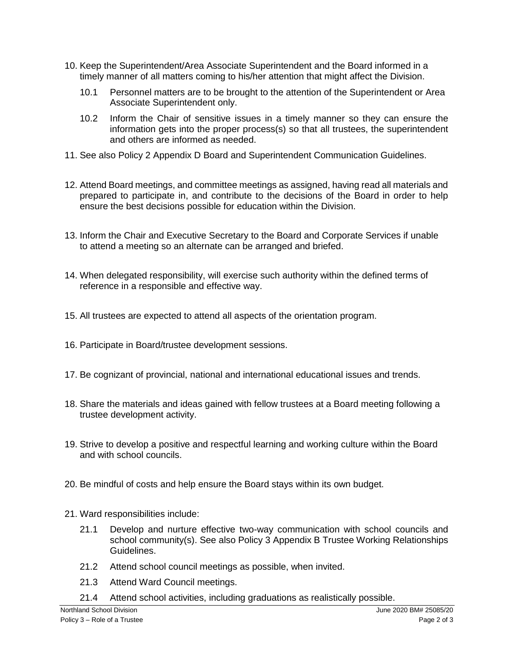- 10. Keep the Superintendent/Area Associate Superintendent and the Board informed in a timely manner of all matters coming to his/her attention that might affect the Division.
	- 10.1 Personnel matters are to be brought to the attention of the Superintendent or Area Associate Superintendent only.
	- 10.2 Inform the Chair of sensitive issues in a timely manner so they can ensure the information gets into the proper process(s) so that all trustees, the superintendent and others are informed as needed.
- 11. See also Policy 2 Appendix D Board and Superintendent Communication Guidelines.
- 12. Attend Board meetings, and committee meetings as assigned, having read all materials and prepared to participate in, and contribute to the decisions of the Board in order to help ensure the best decisions possible for education within the Division.
- 13. Inform the Chair and Executive Secretary to the Board and Corporate Services if unable to attend a meeting so an alternate can be arranged and briefed.
- 14. When delegated responsibility, will exercise such authority within the defined terms of reference in a responsible and effective way.
- 15. All trustees are expected to attend all aspects of the orientation program.
- 16. Participate in Board/trustee development sessions.
- 17. Be cognizant of provincial, national and international educational issues and trends.
- 18. Share the materials and ideas gained with fellow trustees at a Board meeting following a trustee development activity.
- 19. Strive to develop a positive and respectful learning and working culture within the Board and with school councils.
- 20. Be mindful of costs and help ensure the Board stays within its own budget.
- 21. Ward responsibilities include:
	- 21.1 Develop and nurture effective two-way communication with school councils and school community(s). See also Policy 3 Appendix B Trustee Working Relationships Guidelines.
	- 21.2 Attend school council meetings as possible, when invited.
	- 21.3 Attend Ward Council meetings.
	- 21.4 Attend school activities, including graduations as realistically possible.